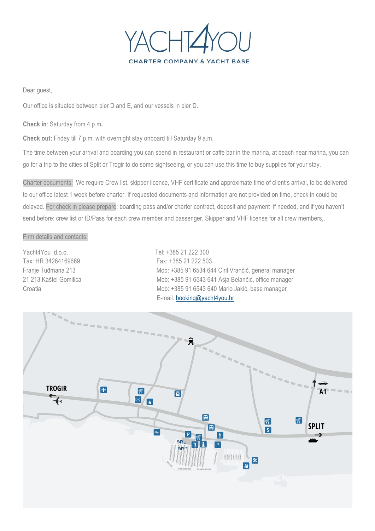

Dear guest,

Our office is situated between pier D and E, and our vessels in pier D.

**Check in**: Saturday from 4 p.m**.**

**Check out:** Friday till 7 p.m. with overnight stay onboard till Saturday 9 a.m.

The time between your arrival and boarding you can spend in restaurant or caffe bar in the marina, at beach near marina, you can go for a trip to the cities of Split or Trogir to do some sightseeing, or you can use this time to buy supplies for your stay.

Charter documents: We require Crew list, skipper licence, VHF certificate and approximate time of client's arrival, to be delivered to our office latest 1 week before charter. If requested documents and information are not provided on time, check in could be delayed. For check in please prepare: boarding pass and/or charter contract, deposit and payment if needed, and if you haven't send before: crew list or ID/Pass for each crew member and passenger, Skipper and VHF license for all crew members,.

#### Firm details and contacts:

Yacht4You d.o.o. Tel: +385 21 222 300 Tax: HR 34264169669 Fax: +385 21 222 503

Franje Tuđmana 213 Mob: +385 91 6534 644 Ciril Vrančič, general manager 21 213 Kaštel Gomilica Mob: +385 91 6543 641 Asja Belančić, office manager Croatia Mob: +385 91 6543 640 Mario Jakić, base manager E-mail: booking@yacht4you.hr

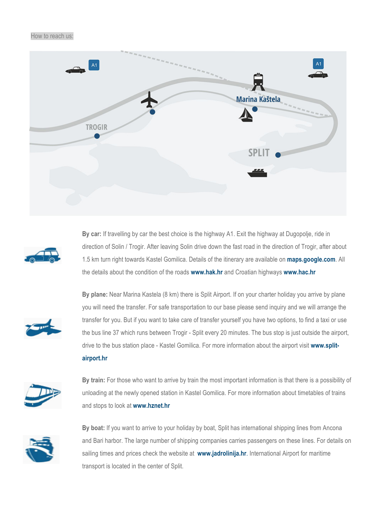#### How to reach us:





**By car:** If travelling by car the best choice is the highway A1. Exit the highway at Dugopolje, ride in direction of Solin / Trogir. After leaving Solin drive down the fast road in the direction of Trogir, after about 1.5 km turn right towards Kastel Gomilica. Details of the itinerary are available on **maps.google.com**. All the details about the condition of the roads **www.hak.hr** and Croatian highways **www.hac.hr**



**By plane:** Near Marina Kastela (8 km) there is Split Airport. If on your charter holiday you arrive by plane you will need the transfer. For safe transportation to our base please send inquiry and we will arrange the transfer for you. But if you want to take care of transfer yourself you have two options, to find a taxi or use the bus line 37 which runs between Trogir - Split every 20 minutes. The bus stop is just outside the airport, drive to the bus station place - Kastel Gomilica. For more information about the airport visit **www.splitairport.hr**



**By train:** For those who want to arrive by train the most important information is that there is a possibility of unloading at the newly opened station in Kastel Gomilica. For more information about timetables of trains and stops to look at **www.hznet.hr**



**By boat:** If you want to arrive to your holiday by boat, Split has international shipping lines from Ancona and Bari harbor. The large number of shipping companies carries passengers on these lines. For details on sailing times and prices check the website at **www.jadrolinija.hr**. International Airport for maritime transport is located in the center of Split.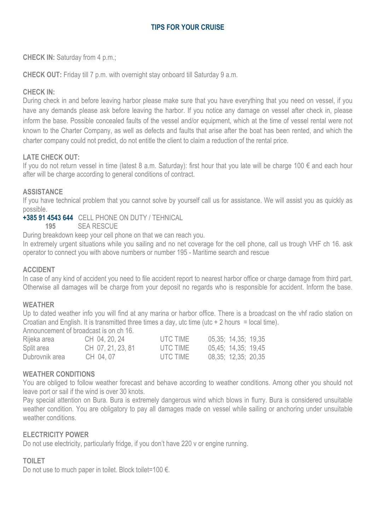# **TIPS FOR YOUR CRUISE**

**CHECK IN:** Saturday from 4 p.m.;

**CHECK OUT:** Friday till 7 p.m. with overnight stay onboard till Saturday 9 a.m.

# **CHECK IN:**

During check in and before leaving harbor please make sure that you have everything that you need on vessel, if you have any demands please ask before leaving the harbor. If you notice any damage on vessel after check in, please inform the base. Possible concealed faults of the vessel and/or equipment, which at the time of vessel rental were not known to the Charter Company, as well as defects and faults that arise after the boat has been rented, and which the charter company could not predict, do not entitle the client to claim a reduction of the rental price.

## **LATE CHECK OUT:**

If you do not return vessel in time (latest 8 a.m. Saturday): first hour that you late will be charge 100  $\epsilon$  and each hour after will be charge according to general conditions of contract.

## **ASSISTANCE**

If you have technical problem that you cannot solve by yourself call us for assistance. We will assist you as quickly as possible.

**+385 91 4543 644** CELL PHONE ON DUTY / TEHNICAL

**195** SEA RESCUE

During breakdown keep your cell phone on that we can reach you.

In extremely urgent situations while you sailing and no net coverage for the cell phone, call us trough VHF ch 16. ask operator to connect you with above numbers or number 195 - Maritime search and rescue

#### **ACCIDENT**

In case of any kind of accident you need to file accident report to nearest harbor office or charge damage from third part. Otherwise all damages will be charge from your deposit no regards who is responsible for accident. Inform the base.

#### **WEATHER**

Up to dated weather info you will find at any marina or harbor office. There is a broadcast on the vhf radio station on Croatian and English. It is transmitted three times a day, utc time (utc + 2 hours = local time).

Announcement of broadcast is on ch 16.

| Rijeka area    | CH 04, 20, 24     | UTC TIME | 05,35; 14,35; 19,35 |
|----------------|-------------------|----------|---------------------|
| Split area     | CH 07, 21, 23, 81 | UTC TIME | 05.45; 14.35; 19.45 |
| Dubrovnik area | CH 04.07          | UTC TIME | 08,35; 12,35; 20,35 |

#### **WEATHER CONDITIONS**

You are obliged to follow weather forecast and behave according to weather conditions. Among other you should not leave port or sail if the wind is over 30 knots.

Pay special attention on Bura. Bura is extremely dangerous wind which blows in flurry. Bura is considered unsuitable weather condition. You are obligatory to pay all damages made on vessel while sailing or anchoring under unsuitable weather conditions.

#### **ELECTRICITY POWER**

Do not use electricity, particularly fridge, if you don't have 220 v or engine running.

#### **TOILET**

Do not use to much paper in toilet. Block toilet=100 €.